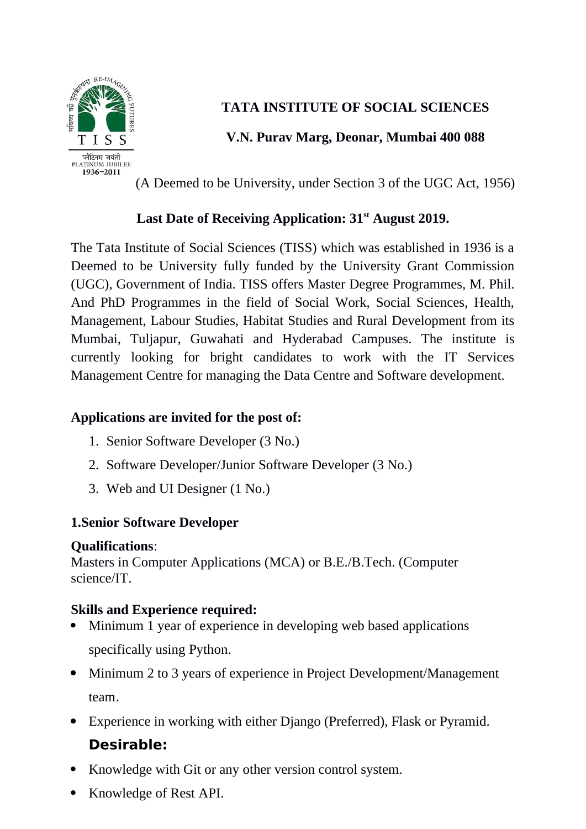

## **TATA INSTITUTE OF SOCIAL SCIENCES**

## **V.N. Purav Marg, Deonar, Mumbai 400 088**

(A Deemed to be University, under Section 3 of the UGC Act, 1956)

## **Last Date of Receiving Application: 31st August 2019.**

The Tata Institute of Social Sciences (TISS) which was established in 1936 is a Deemed to be University fully funded by the University Grant Commission (UGC), Government of India. TISS offers Master Degree Programmes, M. Phil. And PhD Programmes in the field of Social Work, Social Sciences, Health, Management, Labour Studies, Habitat Studies and Rural Development from its Mumbai, Tuljapur, Guwahati and Hyderabad Campuses. The institute is currently looking for bright candidates to work with the IT Services Management Centre for managing the Data Centre and Software development.

### **Applications are invited for the post of:**

- 1. Senior Software Developer (3 No.)
- 2. Software Developer/Junior Software Developer (3 No.)
- 3. Web and UI Designer (1 No.)

## **1.Senior Software Developer**

#### **Qualifications**:

Masters in Computer Applications (MCA) or B.E./B.Tech. (Computer science/IT.

#### **Skills and Experience required:**

- Minimum 1 year of experience in developing web based applications specifically using Python.
- Minimum 2 to 3 years of experience in Project Development/Management team.
- Experience in working with either Django (Preferred), Flask or Pyramid.

## **Desirable:**

- Knowledge with Git or any other version control system.
- Knowledge of Rest API.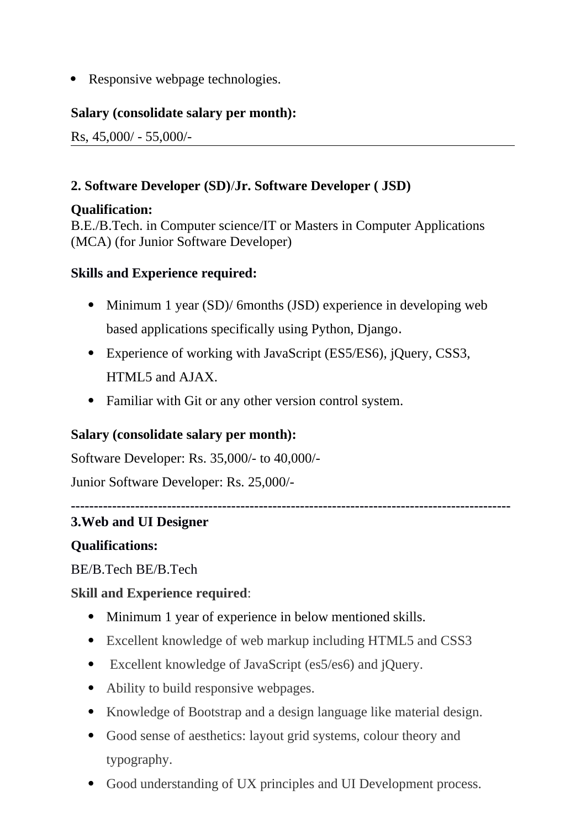• Responsive webpage technologies.

#### **Salary (consolidate salary per month):**

Rs, 45,000/ - 55,000/-

#### **2. Software Developer (SD)**/**Jr. Software Developer ( JSD)**

#### **Qualification:**

B.E./B.Tech. in Computer science/IT or Masters in Computer Applications (MCA) (for Junior Software Developer)

#### **Skills and Experience required:**

- Minimum 1 year (SD)/ 6months (JSD) experience in developing web based applications specifically using Python, Django.
- Experience of working with JavaScript (ES5/ES6), jQuery, CSS3, HTML5 and AJAX.
- Familiar with Git or any other version control system.

#### **Salary (consolidate salary per month):**

Software Developer: Rs. 35,000/- to 40,000/-

Junior Software Developer: Rs. 25,000/-

#### **------------------------------------------------------------------------------------------------**

#### **3.Web and UI Designer**

#### **Qualifications:**

BE/B.Tech BE/B.Tech

#### **Skill and Experience required**:

- Minimum 1 year of experience in below mentioned skills.
- Excellent knowledge of web markup including HTML5 and CSS3
- Excellent knowledge of JavaScript (es5/es6) and jQuery.
- Ability to build responsive webpages.
- Knowledge of Bootstrap and a design language like material design.
- Good sense of aesthetics: layout grid systems, colour theory and typography.
- Good understanding of UX principles and UI Development process.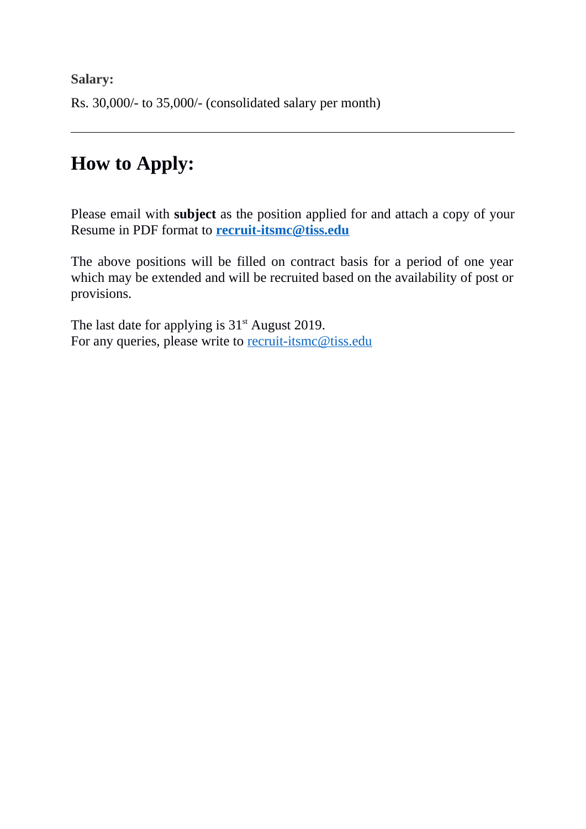**Salary:**  Rs. 30,000/- to 35,000/- (consolidated salary per month)

# **How to Apply:**

Please email with **subject** as the position applied for and attach a copy of your Resume in PDF format to **[recruit-itsmc@tiss.edu](mailto:recruit-itsmc@tiss.edu)**

The above positions will be filled on contract basis for a period of one year which may be extended and will be recruited based on the availability of post or provisions.

The last date for applying is  $31<sup>st</sup>$  August 2019. For any queries, please write to [recruit-itsmc@tiss.edu](mailto:recruit-itsmc@tiss.edu)